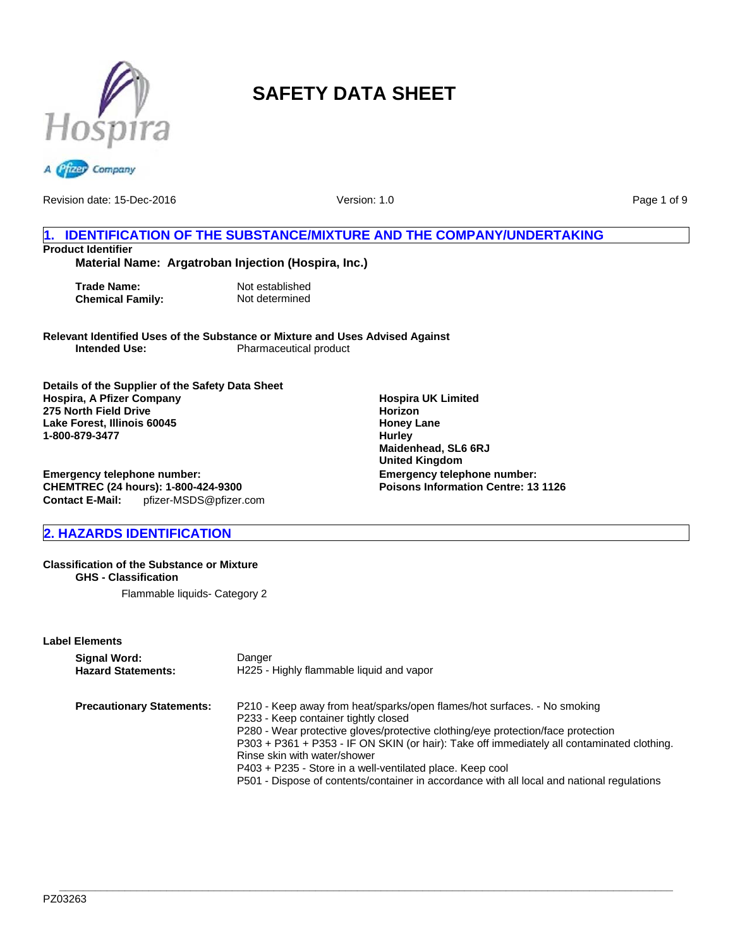



Version: 1.0

Page 1 of 9

# **1. IDENTIFICATION OF THE SUBSTANCE/MIXTURE AND THE COMPANY/UNDERTAKING Product Identifier**

# **Material Name: Argatroban Injection (Hospira, Inc.)**

**Trade Name:** Not established<br> **Chemical Family:** Not determined **Chemical Family:** 

**Relevant Identified Uses of the Substance or Mixture and Uses Advised Against Pharmaceutical product** 

**Details of the Supplier of the Safety Data Sheet Hospira, A Pfizer Company 275 North Field Drive Lake Forest, Illinois 60045 1-800-879-3477**

**Emergency telephone number: CHEMTREC (24 hours): 1-800-424-9300 Contact E-Mail:** pfizer-MSDS@pfizer.com

# **2. HAZARDS IDENTIFICATION**

#### **Classification of the Substance or Mixture GHS - Classification**

Flammable liquids- Category 2

#### **Label Elements**

| Signal Word:                     | Danger                                                                                                                                                                                                                                                                                                                                                                                                                                                                                        |
|----------------------------------|-----------------------------------------------------------------------------------------------------------------------------------------------------------------------------------------------------------------------------------------------------------------------------------------------------------------------------------------------------------------------------------------------------------------------------------------------------------------------------------------------|
| <b>Hazard Statements:</b>        | H225 - Highly flammable liquid and vapor                                                                                                                                                                                                                                                                                                                                                                                                                                                      |
| <b>Precautionary Statements:</b> | P210 - Keep away from heat/sparks/open flames/hot surfaces. - No smoking<br>P233 - Keep container tightly closed<br>P280 - Wear protective gloves/protective clothing/eye protection/face protection<br>P303 + P361 + P353 - IF ON SKIN (or hair): Take off immediately all contaminated clothing.<br>Rinse skin with water/shower<br>P403 + P235 - Store in a well-ventilated place. Keep cool<br>P501 - Dispose of contents/container in accordance with all local and national regulations |

**Hospira UK Limited Horizon Honey Lane Hurley Maidenhead, SL6 6RJ United Kingdom Emergency telephone number: Poisons Information Centre: 13 1126**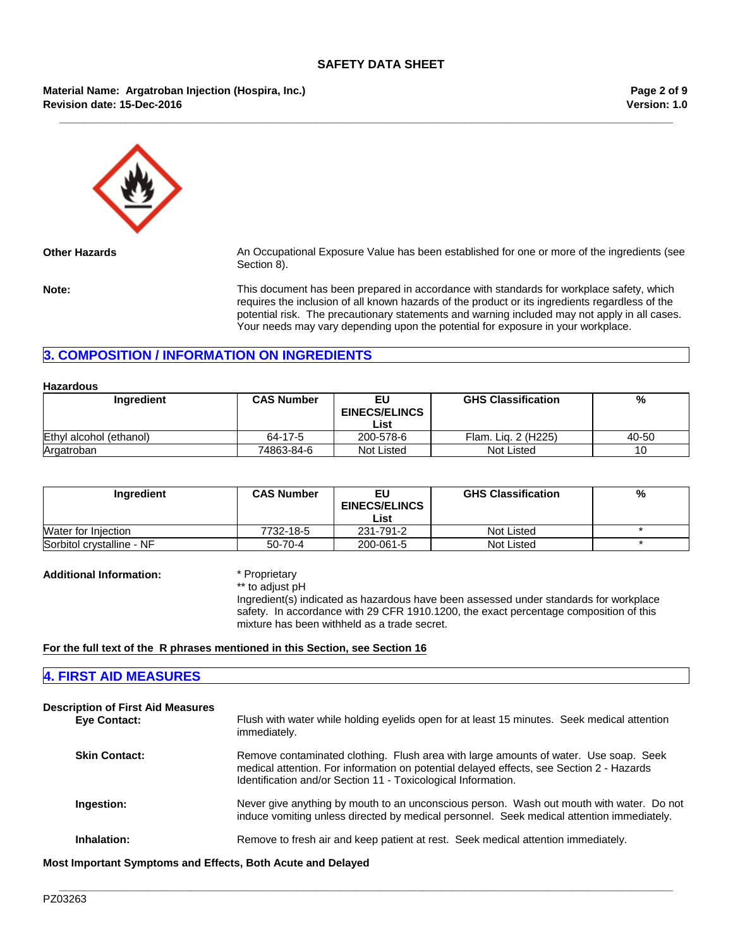**\_\_\_\_\_\_\_\_\_\_\_\_\_\_\_\_\_\_\_\_\_\_\_\_\_\_\_\_\_\_\_\_\_\_\_\_\_\_\_\_\_\_\_\_\_\_\_\_\_\_\_\_\_\_\_\_\_\_\_\_\_\_\_\_\_\_\_\_\_\_\_\_\_\_\_\_\_\_\_\_\_\_\_\_\_\_\_\_\_\_\_\_\_\_\_\_\_\_\_\_\_\_\_**

#### **Material Name: Argatroban Injection (Hospira, Inc.) Revision date: 15-Dec-2016**

**Version: 1.0 Page 2 of 9**



**Other Hazards** An Occupational Exposure Value has been established for one or more of the ingredients (see Section 8).

**Note:** This document has been prepared in accordance with standards for workplace safety, which requires the inclusion of all known hazards of the product or its ingredients regardless of the potential risk. The precautionary statements and warning included may not apply in all cases. Your needs may vary depending upon the potential for exposure in your workplace.

# **3. COMPOSITION / INFORMATION ON INGREDIENTS**

#### **Hazardous**

| Ingredient              | <b>CAS Number</b> | EU<br><b>EINECS/ELINCS</b> | <b>GHS Classification</b> | %     |
|-------------------------|-------------------|----------------------------|---------------------------|-------|
|                         |                   | List                       |                           |       |
| Ethyl alcohol (ethanol) | 64-17-5           | 200-578-6                  | Flam, Lig. 2 (H225)       | 40-50 |
| Argatroban              | 74863-84-6        | Not Listed                 | Not Listed                | 10    |

| Ingredient                 | <b>CAS Number</b> | <b>EINECS/ELINCS</b> | <b>GHS Classification</b> | % |
|----------------------------|-------------------|----------------------|---------------------------|---|
|                            |                   | List                 |                           |   |
| <b>Water for Injection</b> | 7732-18-5         | 231-791-2            | Not Listed                |   |
| Sorbitol crystalline - NF  | 50-70-4           | 200-061-5            | Not Listed                |   |

**Additional Information:** \* Proprietary

\*\* to adjust pH

Ingredient(s) indicated as hazardous have been assessed under standards for workplace safety. In accordance with 29 CFR 1910.1200, the exact percentage composition of this mixture has been withheld as a trade secret.

#### **For the full text of the R phrases mentioned in this Section, see Section 16**

# **4. FIRST AID MEASURES**

| <b>Description of First Aid Measures</b><br>Eye Contact: | Flush with water while holding eyelids open for at least 15 minutes. Seek medical attention<br>immediately.                                                                                                                                       |
|----------------------------------------------------------|---------------------------------------------------------------------------------------------------------------------------------------------------------------------------------------------------------------------------------------------------|
| <b>Skin Contact:</b>                                     | Remove contaminated clothing. Flush area with large amounts of water. Use soap. Seek<br>medical attention. For information on potential delayed effects, see Section 2 - Hazards<br>Identification and/or Section 11 - Toxicological Information. |
| Ingestion:                                               | Never give anything by mouth to an unconscious person. Wash out mouth with water. Do not<br>induce vomiting unless directed by medical personnel. Seek medical attention immediately.                                                             |
| Inhalation:                                              | Remove to fresh air and keep patient at rest. Seek medical attention immediately.                                                                                                                                                                 |

**\_\_\_\_\_\_\_\_\_\_\_\_\_\_\_\_\_\_\_\_\_\_\_\_\_\_\_\_\_\_\_\_\_\_\_\_\_\_\_\_\_\_\_\_\_\_\_\_\_\_\_\_\_\_\_\_\_\_\_\_\_\_\_\_\_\_\_\_\_\_\_\_\_\_\_\_\_\_\_\_\_\_\_\_\_\_\_\_\_\_\_\_\_\_\_\_\_\_\_\_\_\_\_**

**Most Important Symptoms and Effects, Both Acute and Delayed**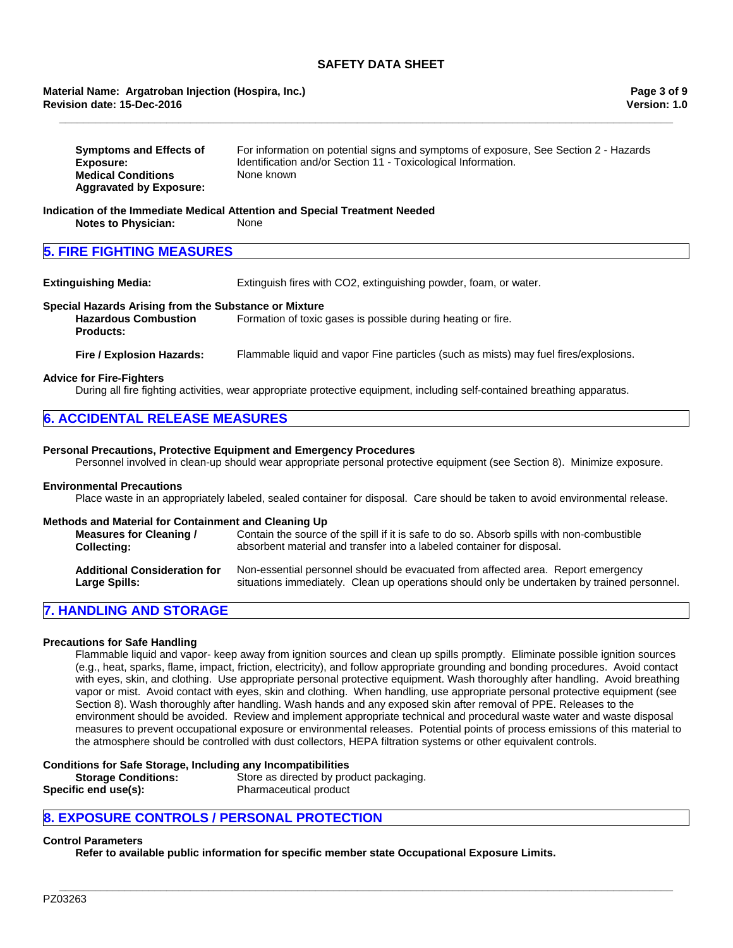#### **Revision date: 15-Dec-2016 Material Name: Argatroban Injection (Hospira, Inc.)**

| <b>Symptoms and Effects of</b> | For information on potential signs and symptoms of exposure, See Section 2 - Hazards |
|--------------------------------|--------------------------------------------------------------------------------------|
| Exposure:                      | Identification and/or Section 11 - Toxicological Information.                        |
| <b>Medical Conditions</b>      | None known                                                                           |
| <b>Aggravated by Exposure:</b> |                                                                                      |

**\_\_\_\_\_\_\_\_\_\_\_\_\_\_\_\_\_\_\_\_\_\_\_\_\_\_\_\_\_\_\_\_\_\_\_\_\_\_\_\_\_\_\_\_\_\_\_\_\_\_\_\_\_\_\_\_\_\_\_\_\_\_\_\_\_\_\_\_\_\_\_\_\_\_\_\_\_\_\_\_\_\_\_\_\_\_\_\_\_\_\_\_\_\_\_\_\_\_\_\_\_\_\_**

#### **Indication of the Immediate Medical Attention and Special Treatment Needed Notes to Physician:** None

# **5. FIRE FIGHTING MEASURES**

**Extinguishing Media:** Extinguish fires with CO2, extinguishing powder, foam, or water.

#### **Special Hazards Arising from the Substance or Mixture**

**Hazardous Combustion Products:** Formation of toxic gases is possible during heating or fire.

**Fire / Explosion Hazards:** Flammable liquid and vapor Fine particles (such as mists) may fuel fires/explosions.

#### **Advice for Fire-Fighters**

During all fire fighting activities, wear appropriate protective equipment, including self-contained breathing apparatus.

| <b>6. ACCIDENTAL RELEASE MEASURES</b> |  |
|---------------------------------------|--|
|                                       |  |

#### **Personal Precautions, Protective Equipment and Emergency Procedures**

Personnel involved in clean-up should wear appropriate personal protective equipment (see Section 8). Minimize exposure.

#### **Environmental Precautions**

Place waste in an appropriately labeled, sealed container for disposal. Care should be taken to avoid environmental release.

#### **Methods and Material for Containment and Cleaning Up**

| Measures for Cleaning /             | Contain the source of the spill if it is safe to do so. Absorb spills with non-combustible  |
|-------------------------------------|---------------------------------------------------------------------------------------------|
| <b>Collecting:</b>                  | absorbent material and transfer into a labeled container for disposal.                      |
| <b>Additional Consideration for</b> | Non-essential personnel should be evacuated from affected area. Report emergency            |
| <b>Large Spills:</b>                | situations immediately. Clean up operations should only be undertaken by trained personnel. |

# **7. HANDLING AND STORAGE**

## **Precautions for Safe Handling**

Flammable liquid and vapor- keep away from ignition sources and clean up spills promptly. Eliminate possible ignition sources (e.g., heat, sparks, flame, impact, friction, electricity), and follow appropriate grounding and bonding procedures. Avoid contact with eyes, skin, and clothing. Use appropriate personal protective equipment. Wash thoroughly after handling. Avoid breathing vapor or mist. Avoid contact with eyes, skin and clothing. When handling, use appropriate personal protective equipment (see Section 8). Wash thoroughly after handling. Wash hands and any exposed skin after removal of PPE. Releases to the environment should be avoided. Review and implement appropriate technical and procedural waste water and waste disposal measures to prevent occupational exposure or environmental releases. Potential points of process emissions of this material to the atmosphere should be controlled with dust collectors, HEPA filtration systems or other equivalent controls.

**\_\_\_\_\_\_\_\_\_\_\_\_\_\_\_\_\_\_\_\_\_\_\_\_\_\_\_\_\_\_\_\_\_\_\_\_\_\_\_\_\_\_\_\_\_\_\_\_\_\_\_\_\_\_\_\_\_\_\_\_\_\_\_\_\_\_\_\_\_\_\_\_\_\_\_\_\_\_\_\_\_\_\_\_\_\_\_\_\_\_\_\_\_\_\_\_\_\_\_\_\_\_\_**

#### **Conditions for Safe Storage, Including any Incompatibilities**

| <b>Storage Conditions:</b> | Store as directed by product packaging. |
|----------------------------|-----------------------------------------|
| Specific end use(s):       | Pharmaceutical product                  |

# **8. EXPOSURE CONTROLS / PERSONAL PROTECTION**

#### **Control Parameters**

**Refer to available public information for specific member state Occupational Exposure Limits.**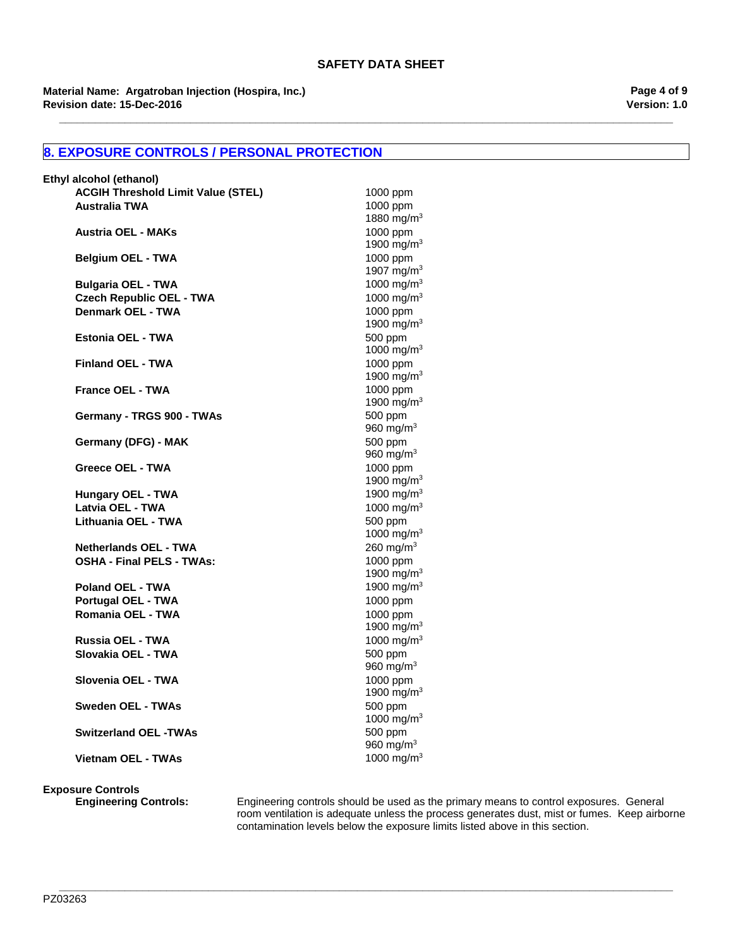**\_\_\_\_\_\_\_\_\_\_\_\_\_\_\_\_\_\_\_\_\_\_\_\_\_\_\_\_\_\_\_\_\_\_\_\_\_\_\_\_\_\_\_\_\_\_\_\_\_\_\_\_\_\_\_\_\_\_\_\_\_\_\_\_\_\_\_\_\_\_\_\_\_\_\_\_\_\_\_\_\_\_\_\_\_\_\_\_\_\_\_\_\_\_\_\_\_\_\_\_\_\_\_**

**Revision date: 15-Dec-2016 Material Name: Argatroban Injection (Hospira, Inc.)** **Version: 1.0 Page 4 of 9**

# **8. EXPOSURE CONTROLS / PERSONAL PROTECTION**

| Ethyl alcohol (ethanol)                   |                                                  |
|-------------------------------------------|--------------------------------------------------|
| <b>ACGIH Threshold Limit Value (STEL)</b> | 1000 ppm                                         |
| <b>Australia TWA</b>                      | 1000 ppm                                         |
|                                           | 1880 mg/m <sup>3</sup>                           |
| <b>Austria OEL - MAKs</b>                 | 1000 ppm                                         |
|                                           | 1900 mg/m <sup>3</sup>                           |
| <b>Belgium OEL - TWA</b>                  | 1000 ppm                                         |
|                                           | 1907 mg/m <sup>3</sup>                           |
| <b>Bulgaria OEL - TWA</b>                 | 1000 mg/m $3$                                    |
| <b>Czech Republic OEL - TWA</b>           | 1000 mg/m <sup>3</sup>                           |
| Denmark OEL - TWA                         | 1000 ppm                                         |
|                                           | 1900 mg/m <sup>3</sup>                           |
| <b>Estonia OEL - TWA</b>                  | 500 ppm<br>1000 mg/m <sup>3</sup>                |
| <b>Finland OEL - TWA</b>                  |                                                  |
|                                           | 1000 ppm<br>1900 mg/m <sup>3</sup>               |
| <b>France OEL - TWA</b>                   | 1000 ppm                                         |
|                                           | 1900 mg/m $3$                                    |
| Germany - TRGS 900 - TWAs                 | 500 ppm                                          |
|                                           | 960 mg/m $3$                                     |
| Germany (DFG) - MAK                       | 500 ppm                                          |
|                                           | 960 mg/m $3$                                     |
| Greece OEL - TWA                          | 1000 ppm                                         |
|                                           | 1900 mg/m $3$                                    |
| <b>Hungary OEL - TWA</b>                  | 1900 mg/m <sup>3</sup>                           |
| Latvia OEL - TWA                          | 1000 mg/m <sup>3</sup>                           |
| Lithuania OEL - TWA                       | 500 ppm                                          |
|                                           | 1000 mg/m <sup>3</sup>                           |
| <b>Netherlands OEL - TWA</b>              | 260 mg/m $3$                                     |
| <b>OSHA - Final PELS - TWAs:</b>          | 1000 ppm                                         |
|                                           | 1900 mg/m <sup>3</sup>                           |
| <b>Poland OEL - TWA</b>                   | 1900 mg/m $3$                                    |
| <b>Portugal OEL - TWA</b>                 | 1000 ppm                                         |
| Romania OEL - TWA                         | 1000 ppm                                         |
| Russia OEL - TWA                          | 1900 mg/m <sup>3</sup><br>1000 mg/m <sup>3</sup> |
| Slovakia OEL - TWA                        |                                                  |
|                                           | 500 ppm<br>960 mg/m $3$                          |
| Slovenia OEL - TWA                        | 1000 ppm                                         |
|                                           | 1900 mg/m <sup>3</sup>                           |
| <b>Sweden OEL - TWAs</b>                  | 500 ppm                                          |
|                                           | 1000 mg/m <sup>3</sup>                           |
| <b>Switzerland OEL -TWAs</b>              | 500 ppm                                          |
|                                           | 960 mg/m $3$                                     |
| <b>Vietnam OEL - TWAs</b>                 | 1000 mg/m <sup>3</sup>                           |

# **Exposure Controls**

**Engineering Controls:** Engineering controls should be used as the primary means to control exposures. General room ventilation is adequate unless the process generates dust, mist or fumes. Keep airborne contamination levels below the exposure limits listed above in this section.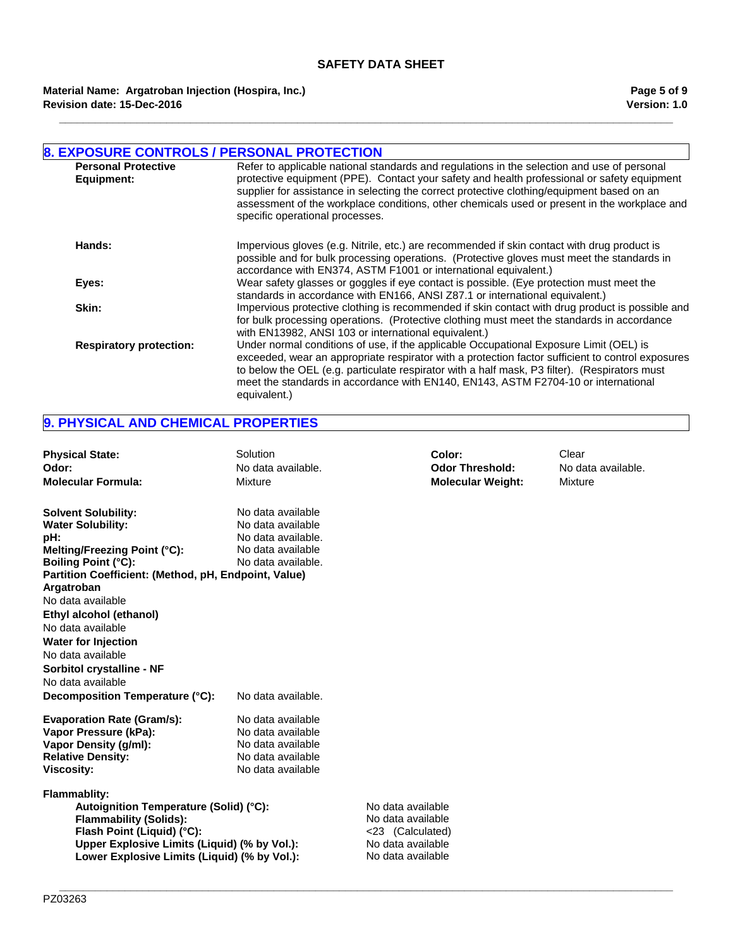**\_\_\_\_\_\_\_\_\_\_\_\_\_\_\_\_\_\_\_\_\_\_\_\_\_\_\_\_\_\_\_\_\_\_\_\_\_\_\_\_\_\_\_\_\_\_\_\_\_\_\_\_\_\_\_\_\_\_\_\_\_\_\_\_\_\_\_\_\_\_\_\_\_\_\_\_\_\_\_\_\_\_\_\_\_\_\_\_\_\_\_\_\_\_\_\_\_\_\_\_\_\_\_**

**Revision date: 15-Dec-2016 Material Name: Argatroban Injection (Hospira, Inc.)**

| <b>8. EXPOSURE CONTROLS / PERSONAL PROTECTION</b> |                                                                                                                                                                                                                                                                                                                                                                                                                             |
|---------------------------------------------------|-----------------------------------------------------------------------------------------------------------------------------------------------------------------------------------------------------------------------------------------------------------------------------------------------------------------------------------------------------------------------------------------------------------------------------|
| <b>Personal Protective</b><br>Equipment:          | Refer to applicable national standards and regulations in the selection and use of personal<br>protective equipment (PPE). Contact your safety and health professional or safety equipment<br>supplier for assistance in selecting the correct protective clothing/equipment based on an<br>assessment of the workplace conditions, other chemicals used or present in the workplace and<br>specific operational processes. |
| Hands:                                            | Impervious gloves (e.g. Nitrile, etc.) are recommended if skin contact with drug product is<br>possible and for bulk processing operations. (Protective gloves must meet the standards in<br>accordance with EN374, ASTM F1001 or international equivalent.)                                                                                                                                                                |
| Eyes:                                             | Wear safety glasses or goggles if eye contact is possible. (Eye protection must meet the<br>standards in accordance with EN166, ANSI Z87.1 or international equivalent.)                                                                                                                                                                                                                                                    |
| Skin:                                             | Impervious protective clothing is recommended if skin contact with drug product is possible and<br>for bulk processing operations. (Protective clothing must meet the standards in accordance<br>with EN13982, ANSI 103 or international equivalent.)                                                                                                                                                                       |
| <b>Respiratory protection:</b>                    | Under normal conditions of use, if the applicable Occupational Exposure Limit (OEL) is<br>exceeded, wear an appropriate respirator with a protection factor sufficient to control exposures<br>to below the OEL (e.g. particulate respirator with a half mask, P3 filter). (Respirators must<br>meet the standards in accordance with EN140, EN143, ASTM F2704-10 or international<br>equivalent.)                          |

# **9. PHYSICAL AND CHEMICAL PROPERTIES**

| <b>Physical State:</b><br>Odor:<br><b>Molecular Formula:</b>                                                                                                                                                                                                                                                                                                                                                   | Solution<br>No data available.<br>Mixture                                                                                     |                                                                                 | Color:<br><b>Odor Threshold:</b><br><b>Molecular Weight:</b> | Clear<br>No data available.<br>Mixture |
|----------------------------------------------------------------------------------------------------------------------------------------------------------------------------------------------------------------------------------------------------------------------------------------------------------------------------------------------------------------------------------------------------------------|-------------------------------------------------------------------------------------------------------------------------------|---------------------------------------------------------------------------------|--------------------------------------------------------------|----------------------------------------|
| <b>Solvent Solubility:</b><br><b>Water Solubility:</b><br>pH:<br>Melting/Freezing Point (°C):<br><b>Boiling Point (°C):</b><br>Partition Coefficient: (Method, pH, Endpoint, Value)<br>Argatroban<br>No data available<br>Ethyl alcohol (ethanol)<br>No data available<br><b>Water for Injection</b><br>No data available<br>Sorbitol crystalline - NF<br>No data available<br>Decomposition Temperature (°C): | No data available<br>No data available<br>No data available.<br>No data available<br>No data available.<br>No data available. |                                                                                 |                                                              |                                        |
| <b>Evaporation Rate (Gram/s):</b><br>Vapor Pressure (kPa):<br>Vapor Density (g/ml):<br><b>Relative Density:</b><br><b>Viscosity:</b><br><b>Flammablity:</b><br>Autoignition Temperature (Solid) (°C):                                                                                                                                                                                                          | No data available<br>No data available<br>No data available<br>No data available<br>No data available                         | No data available                                                               |                                                              |                                        |
| <b>Flammability (Solids):</b><br>Flash Point (Liquid) (°C):<br>Upper Explosive Limits (Liquid) (% by Vol.):<br>Lower Explosive Limits (Liquid) (% by Vol.):                                                                                                                                                                                                                                                    |                                                                                                                               | No data available<br><23 (Calculated)<br>No data available<br>No data available |                                                              |                                        |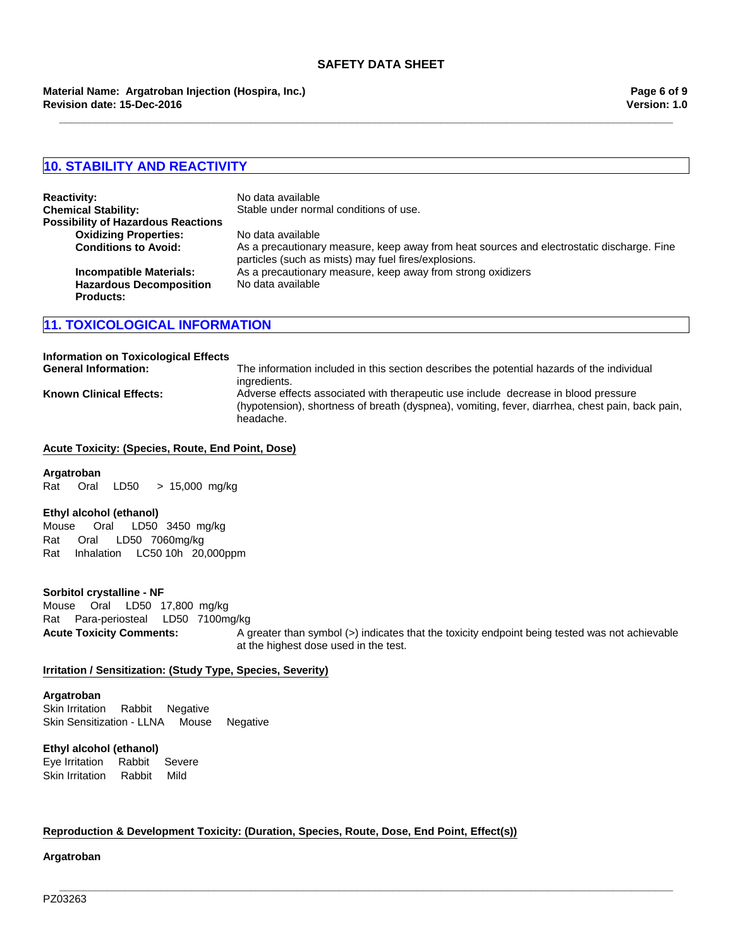**\_\_\_\_\_\_\_\_\_\_\_\_\_\_\_\_\_\_\_\_\_\_\_\_\_\_\_\_\_\_\_\_\_\_\_\_\_\_\_\_\_\_\_\_\_\_\_\_\_\_\_\_\_\_\_\_\_\_\_\_\_\_\_\_\_\_\_\_\_\_\_\_\_\_\_\_\_\_\_\_\_\_\_\_\_\_\_\_\_\_\_\_\_\_\_\_\_\_\_\_\_\_\_**

**Revision date: 15-Dec-2016 Material Name: Argatroban Injection (Hospira, Inc.)**

# **10. STABILITY AND REACTIVITY**

| <b>Reactivity:</b>                        | No data available                                                                                                                                 |
|-------------------------------------------|---------------------------------------------------------------------------------------------------------------------------------------------------|
| <b>Chemical Stability:</b>                | Stable under normal conditions of use.                                                                                                            |
| <b>Possibility of Hazardous Reactions</b> |                                                                                                                                                   |
| <b>Oxidizing Properties:</b>              | No data available                                                                                                                                 |
| <b>Conditions to Avoid:</b>               | As a precautionary measure, keep away from heat sources and electrostatic discharge. Fine<br>particles (such as mists) may fuel fires/explosions. |
| <b>Incompatible Materials:</b>            | As a precautionary measure, keep away from strong oxidizers                                                                                       |
| <b>Hazardous Decomposition</b>            | No data available                                                                                                                                 |
| <b>Products:</b>                          |                                                                                                                                                   |

## **11. TOXICOLOGICAL INFORMATION**

# **Information on Toxicological Effects**

**General Information:** The information included in this section describes the potential hazards of the individual ingredients. **Known Clinical Effects:** Adverse effects associated with therapeutic use include decrease in blood pressure (hypotension), shortness of breath (dyspnea), vomiting, fever, diarrhea, chest pain, back pain, headache.

#### **Acute Toxicity: (Species, Route, End Point, Dose)**

#### **Argatroban**

Rat OralLD50 >15,000mg/kg

#### **Ethyl alcohol (ethanol)**

Rat Oral LD50 7060mg/kg RatInhalationLC50 10h 20,000ppm Mouse Oral LD50 3450mg/kg

## **Sorbitol crystalline - NF**

**Acute Toxicity Comments:** A greater than symbol (>) indicates that the toxicity endpoint being tested was not achievable at the highest dose used in the test. MouseOralLD50 17,800mg/kg RatPara-periostealLD50 7100mg/kg

**\_\_\_\_\_\_\_\_\_\_\_\_\_\_\_\_\_\_\_\_\_\_\_\_\_\_\_\_\_\_\_\_\_\_\_\_\_\_\_\_\_\_\_\_\_\_\_\_\_\_\_\_\_\_\_\_\_\_\_\_\_\_\_\_\_\_\_\_\_\_\_\_\_\_\_\_\_\_\_\_\_\_\_\_\_\_\_\_\_\_\_\_\_\_\_\_\_\_\_\_\_\_\_**

#### **Irritation / Sensitization: (Study Type, Species, Severity)**

#### **Argatroban**

Skin IrritationRabbitNegative Skin Sensitization - LLNAMouseNegative

#### **Ethyl alcohol (ethanol)**

Eye IrritationRabbitSevere Skin IrritationRabbitMild

#### **Reproduction & Development Toxicity: (Duration, Species, Route, Dose, End Point, Effect(s))**

**Argatroban**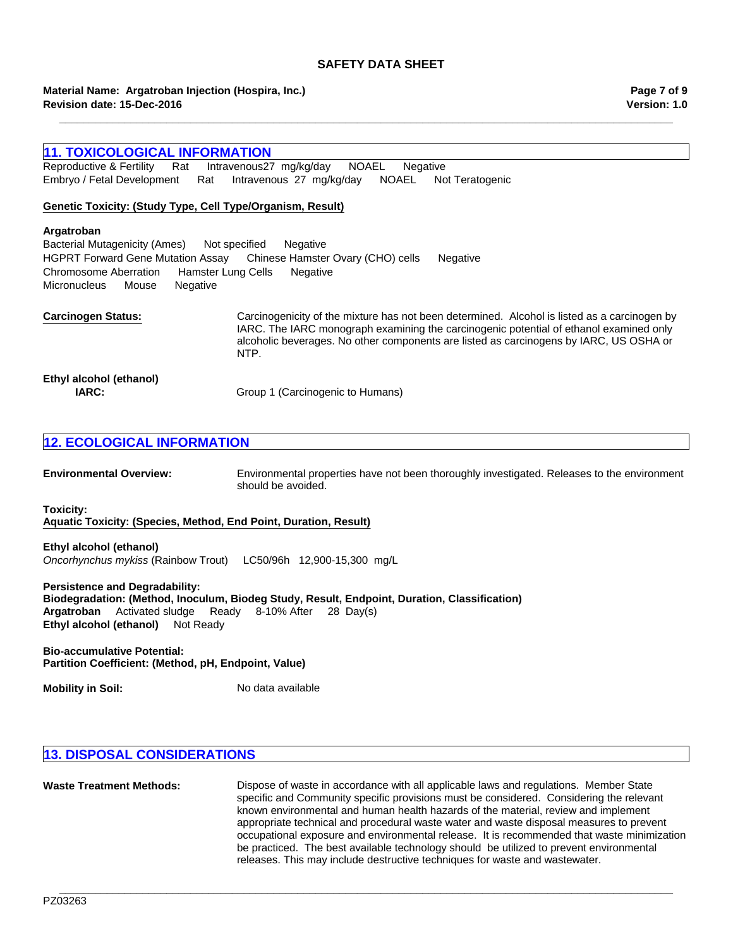**\_\_\_\_\_\_\_\_\_\_\_\_\_\_\_\_\_\_\_\_\_\_\_\_\_\_\_\_\_\_\_\_\_\_\_\_\_\_\_\_\_\_\_\_\_\_\_\_\_\_\_\_\_\_\_\_\_\_\_\_\_\_\_\_\_\_\_\_\_\_\_\_\_\_\_\_\_\_\_\_\_\_\_\_\_\_\_\_\_\_\_\_\_\_\_\_\_\_\_\_\_\_\_**

**Revision date: 15-Dec-2016 Material Name: Argatroban Injection (Hospira, Inc.)**

## **Version: 1.0 Page 7 of 9**

# **11. TOXICOLOGICAL INFORMATION**

Embryo / Fetal DevelopmentRatIntravenous27mg/kg/dayNOAELNot Teratogenic Reproductive & FertilityRatIntravenous27mg/kg/dayNOAELNegative

## **Genetic Toxicity: (Study Type, Cell Type/Organism, Result)**

#### **Argatroban**

HGPRT Forward Gene Mutation AssayChinese Hamster Ovary (CHO) cellsNegative Chromosome AberrationHamster Lung CellsNegative MicronucleusMouseNegative Bacterial Mutagenicity (Ames)Not specifiedNegative

**Carcinogen Status:** Carcinogenicity of the mixture has not been determined. Alcohol is listed as a carcinogen by IARC. The IARC monograph examining the carcinogenic potential of ethanol examined only alcoholic beverages. No other components are listed as carcinogens by IARC, US OSHA or NTP. **Ethyl alcohol (ethanol) IARC:** Group 1 (Carcinogenic to Humans)

# **12. ECOLOGICAL INFORMATION**

**Environmental Overview:** Environmental properties have not been thoroughly investigated. Releases to the environment should be avoided.

**Toxicity:**

**Aquatic Toxicity: (Species, Method, End Point, Duration, Result)**

**Ethyl alcohol (ethanol)** *Oncorhynchus mykiss* (Rainbow Trout)LC50/96h 12,900-15,300mg/L

**Persistence and Degradability: Biodegradation: (Method, Inoculum, Biodeg Study, Result, Endpoint, Duration, Classification) Ethyl alcohol (ethanol)** Not Ready **Argatroban** Activated sludgeReady8-10% After28Day(s)

**Bio-accumulative Potential: Partition Coefficient: (Method, pH, Endpoint, Value)**

**Mobility in Soil:** No data available

# **13. DISPOSAL CONSIDERATIONS**

**Waste Treatment Methods:** Dispose of waste in accordance with all applicable laws and regulations. Member State specific and Community specific provisions must be considered. Considering the relevant known environmental and human health hazards of the material, review and implement appropriate technical and procedural waste water and waste disposal measures to prevent occupational exposure and environmental release. It is recommended that waste minimization be practiced. The best available technology should be utilized to prevent environmental releases. This may include destructive techniques for waste and wastewater.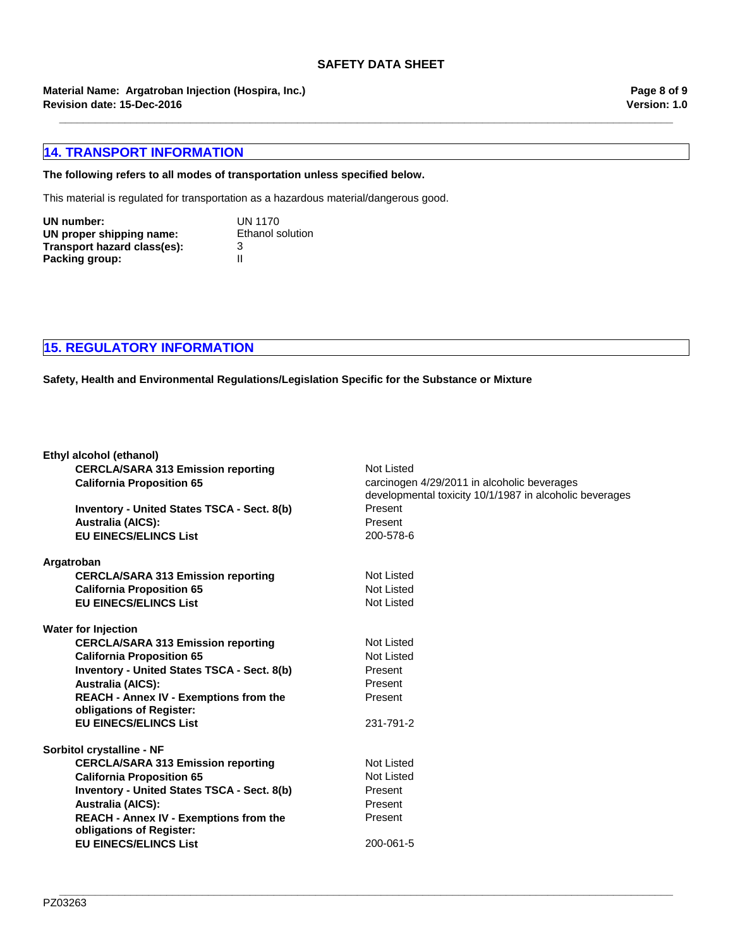**\_\_\_\_\_\_\_\_\_\_\_\_\_\_\_\_\_\_\_\_\_\_\_\_\_\_\_\_\_\_\_\_\_\_\_\_\_\_\_\_\_\_\_\_\_\_\_\_\_\_\_\_\_\_\_\_\_\_\_\_\_\_\_\_\_\_\_\_\_\_\_\_\_\_\_\_\_\_\_\_\_\_\_\_\_\_\_\_\_\_\_\_\_\_\_\_\_\_\_\_\_\_\_**

**Revision date: 15-Dec-2016 Material Name: Argatroban Injection (Hospira, Inc.)**

# **14. TRANSPORT INFORMATION**

# **The following refers to all modes of transportation unless specified below.**

This material is regulated for transportation as a hazardous material/dangerous good.

| UN number:                  | <b>UN 1170</b>          |
|-----------------------------|-------------------------|
| UN proper shipping name:    | <b>Ethanol solution</b> |
| Transport hazard class(es): | 3                       |
| Packing group:              | Ш                       |

**15. REGULATORY INFORMATION**

**Safety, Health and Environmental Regulations/Legislation Specific for the Substance or Mixture**

| Ethyl alcohol (ethanol)                                  |                                                                                                        |
|----------------------------------------------------------|--------------------------------------------------------------------------------------------------------|
| <b>CERCLA/SARA 313 Emission reporting</b>                | Not Listed                                                                                             |
| <b>California Proposition 65</b>                         | carcinogen 4/29/2011 in alcoholic beverages<br>developmental toxicity 10/1/1987 in alcoholic beverages |
| Inventory - United States TSCA - Sect. 8(b)              | Present                                                                                                |
| <b>Australia (AICS):</b>                                 | Present                                                                                                |
| <b>EU EINECS/ELINCS List</b>                             | 200-578-6                                                                                              |
|                                                          |                                                                                                        |
| Argatroban                                               |                                                                                                        |
| <b>CERCLA/SARA 313 Emission reporting</b>                | Not Listed                                                                                             |
| <b>California Proposition 65</b>                         | Not Listed                                                                                             |
| <b>EU EINECS/ELINCS List</b>                             | Not Listed                                                                                             |
| <b>Water for Injection</b>                               |                                                                                                        |
| <b>CERCLA/SARA 313 Emission reporting</b>                | Not Listed                                                                                             |
| <b>California Proposition 65</b>                         | Not Listed                                                                                             |
| <b>Inventory - United States TSCA - Sect. 8(b)</b>       | Present                                                                                                |
| <b>Australia (AICS):</b>                                 | Present                                                                                                |
| <b>REACH - Annex IV - Exemptions from the</b>            | Present                                                                                                |
| obligations of Register:                                 |                                                                                                        |
| <b>EU EINECS/ELINCS List</b>                             | 231-791-2                                                                                              |
| Sorbitol crystalline - NF                                |                                                                                                        |
| <b>CERCLA/SARA 313 Emission reporting</b>                | <b>Not Listed</b>                                                                                      |
| <b>California Proposition 65</b>                         | Not Listed                                                                                             |
|                                                          | Present                                                                                                |
| <b>Inventory - United States TSCA - Sect. 8(b)</b>       |                                                                                                        |
| <b>Australia (AICS):</b>                                 | Present                                                                                                |
| <b>REACH - Annex IV - Exemptions from the</b>            | Present                                                                                                |
| obligations of Register:<br><b>EU EINECS/ELINCS List</b> | 200-061-5                                                                                              |
|                                                          |                                                                                                        |